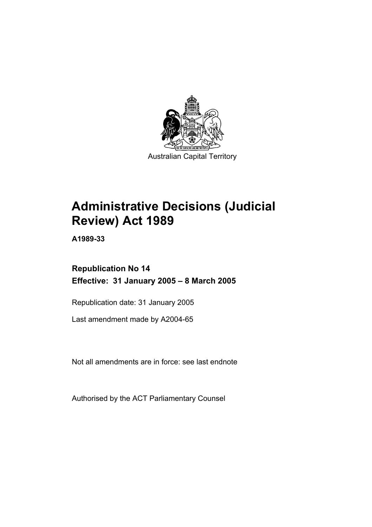

# **Administrative Decisions (Judicial Review) Act 1989**

**A1989-33** 

## **Republication No 14 Effective: 31 January 2005 – 8 March 2005**

Republication date: 31 January 2005

Last amendment made by A2004-65

Not all amendments are in force: see last endnote

Authorised by the ACT Parliamentary Counsel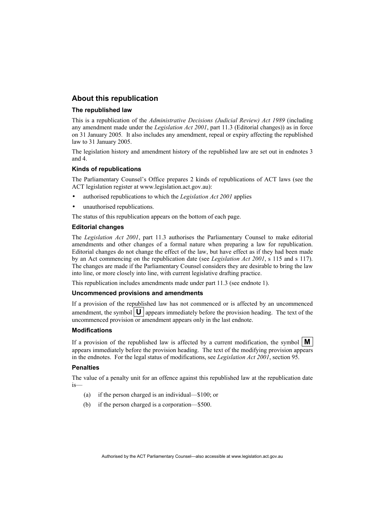## **About this republication**

#### **The republished law**

This is a republication of the *Administrative Decisions (Judicial Review) Act 1989* (including any amendment made under the *Legislation Act 2001*, part 11.3 (Editorial changes)) as in force on 31 January 2005*.* It also includes any amendment, repeal or expiry affecting the republished law to 31 January 2005.

The legislation history and amendment history of the republished law are set out in endnotes 3 and 4.

#### **Kinds of republications**

The Parliamentary Counsel's Office prepares 2 kinds of republications of ACT laws (see the ACT legislation register at www.legislation.act.gov.au):

- authorised republications to which the *Legislation Act 2001* applies
- unauthorised republications.

The status of this republication appears on the bottom of each page.

#### **Editorial changes**

The *Legislation Act 2001*, part 11.3 authorises the Parliamentary Counsel to make editorial amendments and other changes of a formal nature when preparing a law for republication. Editorial changes do not change the effect of the law, but have effect as if they had been made by an Act commencing on the republication date (see *Legislation Act 2001*, s 115 and s 117). The changes are made if the Parliamentary Counsel considers they are desirable to bring the law into line, or more closely into line, with current legislative drafting practice.

This republication includes amendments made under part 11.3 (see endnote 1).

#### **Uncommenced provisions and amendments**

If a provision of the republished law has not commenced or is affected by an uncommenced amendment, the symbol  $\mathbf{U}$  appears immediately before the provision heading. The text of the uncommenced provision or amendment appears only in the last endnote.

#### **Modifications**

If a provision of the republished law is affected by a current modification, the symbol  $\mathbf{M}$ appears immediately before the provision heading. The text of the modifying provision appears in the endnotes. For the legal status of modifications, see *Legislation Act 2001*, section 95.

#### **Penalties**

The value of a penalty unit for an offence against this republished law at the republication date is—

- (a) if the person charged is an individual—\$100; or
- (b) if the person charged is a corporation—\$500.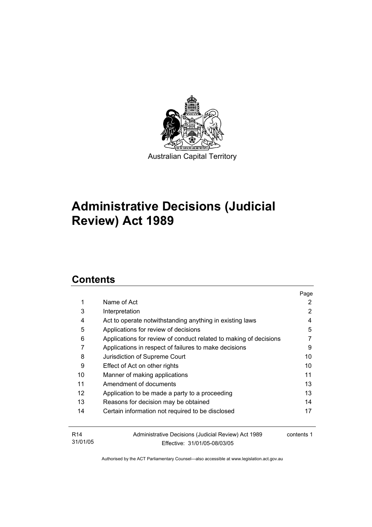

## **Administrative Decisions (Judicial Review) Act 1989**

## **Contents**

|                   |                                                                   | Page       |
|-------------------|-------------------------------------------------------------------|------------|
| 1                 | Name of Act                                                       | 2          |
| 3                 | Interpretation                                                    | 2          |
| 4                 | Act to operate notwithstanding anything in existing laws          | 4          |
| 5                 | Applications for review of decisions                              | 5          |
| 6                 | Applications for review of conduct related to making of decisions |            |
| 7                 | Applications in respect of failures to make decisions             | 9          |
| 8                 | Jurisdiction of Supreme Court                                     | 10         |
| 9                 | Effect of Act on other rights                                     | 10         |
| 10                | Manner of making applications                                     | 11         |
| 11                | Amendment of documents                                            | 13         |
| $12 \overline{ }$ | Application to be made a party to a proceeding                    | 13         |
| 13                | Reasons for decision may be obtained                              | 14         |
| 14                | Certain information not required to be disclosed                  | 17         |
|                   |                                                                   |            |
| R <sub>14</sub>   | Administrative Decisions (Judicial Review) Act 1989               | contents 1 |
| 31/01/05          | Effective: 31/01/05-08/03/05                                      |            |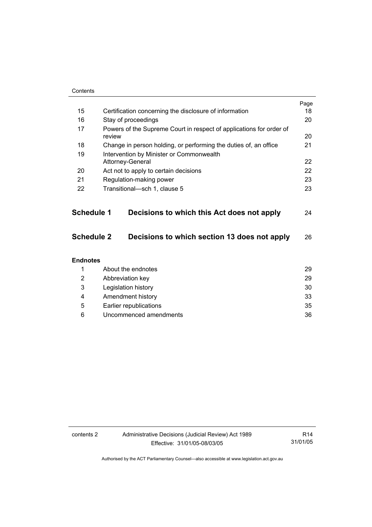| Contents          |                                                                               |      |
|-------------------|-------------------------------------------------------------------------------|------|
|                   |                                                                               | Page |
| 15                | Certification concerning the disclosure of information                        | 18   |
| 16                | Stay of proceedings                                                           | 20   |
| 17                | Powers of the Supreme Court in respect of applications for order of<br>review | 20   |
| 18                | Change in person holding, or performing the duties of, an office              | 21   |
| 19                | Intervention by Minister or Commonwealth                                      |      |
|                   | Attorney-General                                                              | 22   |
| 20                | Act not to apply to certain decisions                                         | 22   |
| 21                | Regulation-making power                                                       | 23   |
| 22                | Transitional-sch 1, clause 5                                                  | 23   |
|                   |                                                                               |      |
| <b>Schedule 1</b> | Decisions to which this Act does not apply                                    | 24   |
| <b>Schedule 2</b> | Decisions to which section 13 does not apply                                  | 26   |
| <b>Endnotes</b>   |                                                                               |      |
| 1                 | About the endnotes                                                            | 29   |
| 2                 | Abbreviation key                                                              | 29   |
| 3                 | Legislation history                                                           | 30   |
| 4                 | Amendment history                                                             | 33   |
| 5                 | Earlier republications                                                        | 35   |
| 6                 | Uncommenced amendments                                                        | 36   |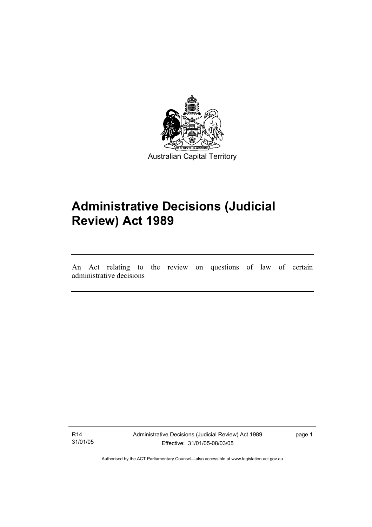

## **Administrative Decisions (Judicial Review) Act 1989**

An Act relating to the review on questions of law of certain administrative decisions

R14 31/01/05

I

Administrative Decisions (Judicial Review) Act 1989 Effective: 31/01/05-08/03/05

page 1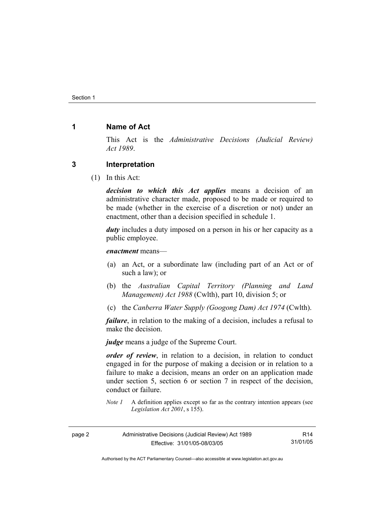## **1 Name of Act**

This Act is the *Administrative Decisions (Judicial Review) Act 1989*.

### **3 Interpretation**

(1) In this Act:

*decision to which this Act applies* means a decision of an administrative character made, proposed to be made or required to be made (whether in the exercise of a discretion or not) under an enactment, other than a decision specified in schedule 1.

*duty* includes a duty imposed on a person in his or her capacity as a public employee.

*enactment* means—

- (a) an Act, or a subordinate law (including part of an Act or of such a law); or
- (b) the *Australian Capital Territory (Planning and Land Management) Act 1988* (Cwlth), part 10, division 5; or
- (c) the *Canberra Water Supply (Googong Dam) Act 1974* (Cwlth).

*failure*, in relation to the making of a decision, includes a refusal to make the decision.

*judge* means a judge of the Supreme Court.

*order of review*, in relation to a decision, in relation to conduct engaged in for the purpose of making a decision or in relation to a failure to make a decision, means an order on an application made under section 5, section 6 or section 7 in respect of the decision, conduct or failure.

*Note 1* A definition applies except so far as the contrary intention appears (see *Legislation Act 2001*, s 155).

| page 2 | Administrative Decisions (Judicial Review) Act 1989 | R14      |
|--------|-----------------------------------------------------|----------|
|        | Effective: 31/01/05-08/03/05                        | 31/01/05 |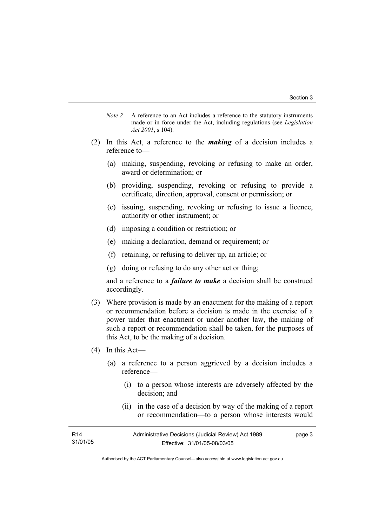- *Note 2* A reference to an Act includes a reference to the statutory instruments made or in force under the Act, including regulations (see *Legislation Act 2001*, s 104).
- (2) In this Act, a reference to the *making* of a decision includes a reference to—
	- (a) making, suspending, revoking or refusing to make an order, award or determination; or
	- (b) providing, suspending, revoking or refusing to provide a certificate, direction, approval, consent or permission; or
	- (c) issuing, suspending, revoking or refusing to issue a licence, authority or other instrument; or
	- (d) imposing a condition or restriction; or
	- (e) making a declaration, demand or requirement; or
	- (f) retaining, or refusing to deliver up, an article; or
	- (g) doing or refusing to do any other act or thing;

and a reference to a *failure to make* a decision shall be construed accordingly.

- (3) Where provision is made by an enactment for the making of a report or recommendation before a decision is made in the exercise of a power under that enactment or under another law, the making of such a report or recommendation shall be taken, for the purposes of this Act, to be the making of a decision.
- (4) In this Act—
	- (a) a reference to a person aggrieved by a decision includes a reference—
		- (i) to a person whose interests are adversely affected by the decision; and
		- (ii) in the case of a decision by way of the making of a report or recommendation—to a person whose interests would

| R <sub>14</sub> | Administrative Decisions (Judicial Review) Act 1989 | page 3 |
|-----------------|-----------------------------------------------------|--------|
| 31/01/05        | Effective: 31/01/05-08/03/05                        |        |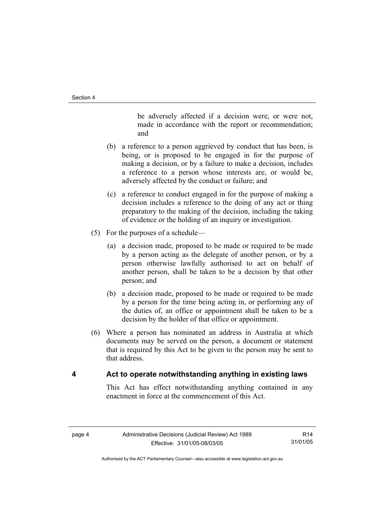be adversely affected if a decision were, or were not, made in accordance with the report or recommendation; and

- (b) a reference to a person aggrieved by conduct that has been, is being, or is proposed to be engaged in for the purpose of making a decision, or by a failure to make a decision, includes a reference to a person whose interests are, or would be, adversely affected by the conduct or failure; and
- (c) a reference to conduct engaged in for the purpose of making a decision includes a reference to the doing of any act or thing preparatory to the making of the decision, including the taking of evidence or the holding of an inquiry or investigation.
- (5) For the purposes of a schedule—
	- (a) a decision made, proposed to be made or required to be made by a person acting as the delegate of another person, or by a person otherwise lawfully authorised to act on behalf of another person, shall be taken to be a decision by that other person; and
	- (b) a decision made, proposed to be made or required to be made by a person for the time being acting in, or performing any of the duties of, an office or appointment shall be taken to be a decision by the holder of that office or appointment.
- (6) Where a person has nominated an address in Australia at which documents may be served on the person, a document or statement that is required by this Act to be given to the person may be sent to that address.

## **4 Act to operate notwithstanding anything in existing laws**

This Act has effect notwithstanding anything contained in any enactment in force at the commencement of this Act.

R14 31/01/05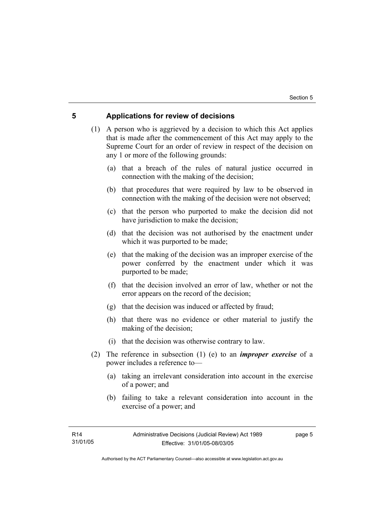## **5 Applications for review of decisions**

 (1) A person who is aggrieved by a decision to which this Act applies that is made after the commencement of this Act may apply to the Supreme Court for an order of review in respect of the decision on any 1 or more of the following grounds:

- (a) that a breach of the rules of natural justice occurred in connection with the making of the decision;
- (b) that procedures that were required by law to be observed in connection with the making of the decision were not observed;
- (c) that the person who purported to make the decision did not have jurisdiction to make the decision;
- (d) that the decision was not authorised by the enactment under which it was purported to be made;
- (e) that the making of the decision was an improper exercise of the power conferred by the enactment under which it was purported to be made;
- (f) that the decision involved an error of law, whether or not the error appears on the record of the decision;
- (g) that the decision was induced or affected by fraud;
- (h) that there was no evidence or other material to justify the making of the decision;
- (i) that the decision was otherwise contrary to law.
- (2) The reference in subsection (1) (e) to an *improper exercise* of a power includes a reference to—
	- (a) taking an irrelevant consideration into account in the exercise of a power; and
	- (b) failing to take a relevant consideration into account in the exercise of a power; and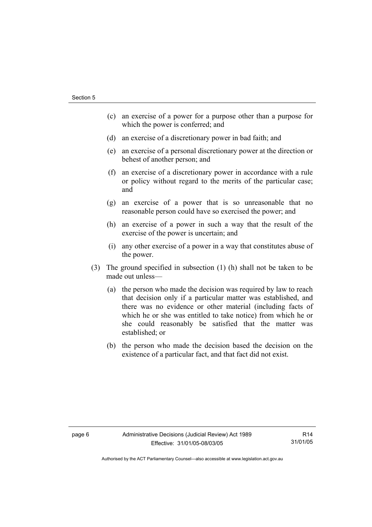- (c) an exercise of a power for a purpose other than a purpose for which the power is conferred; and
- (d) an exercise of a discretionary power in bad faith; and
- (e) an exercise of a personal discretionary power at the direction or behest of another person; and
- (f) an exercise of a discretionary power in accordance with a rule or policy without regard to the merits of the particular case; and
- (g) an exercise of a power that is so unreasonable that no reasonable person could have so exercised the power; and
- (h) an exercise of a power in such a way that the result of the exercise of the power is uncertain; and
- (i) any other exercise of a power in a way that constitutes abuse of the power.
- (3) The ground specified in subsection (1) (h) shall not be taken to be made out unless—
	- (a) the person who made the decision was required by law to reach that decision only if a particular matter was established, and there was no evidence or other material (including facts of which he or she was entitled to take notice) from which he or she could reasonably be satisfied that the matter was established; or
	- (b) the person who made the decision based the decision on the existence of a particular fact, and that fact did not exist.

R14 31/01/05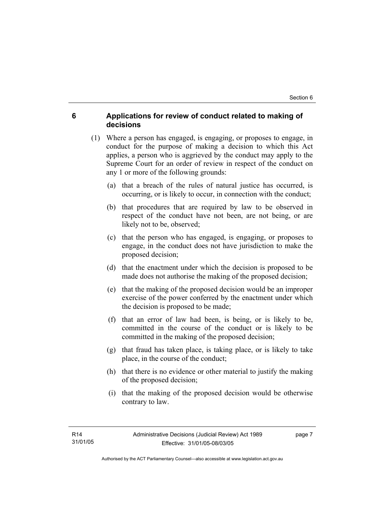## **6 Applications for review of conduct related to making of decisions**

- (1) Where a person has engaged, is engaging, or proposes to engage, in conduct for the purpose of making a decision to which this Act applies, a person who is aggrieved by the conduct may apply to the Supreme Court for an order of review in respect of the conduct on any 1 or more of the following grounds:
	- (a) that a breach of the rules of natural justice has occurred, is occurring, or is likely to occur, in connection with the conduct;
	- (b) that procedures that are required by law to be observed in respect of the conduct have not been, are not being, or are likely not to be, observed;
	- (c) that the person who has engaged, is engaging, or proposes to engage, in the conduct does not have jurisdiction to make the proposed decision;
	- (d) that the enactment under which the decision is proposed to be made does not authorise the making of the proposed decision;
	- (e) that the making of the proposed decision would be an improper exercise of the power conferred by the enactment under which the decision is proposed to be made;
	- (f) that an error of law had been, is being, or is likely to be, committed in the course of the conduct or is likely to be committed in the making of the proposed decision;
	- (g) that fraud has taken place, is taking place, or is likely to take place, in the course of the conduct;
	- (h) that there is no evidence or other material to justify the making of the proposed decision;
	- (i) that the making of the proposed decision would be otherwise contrary to law.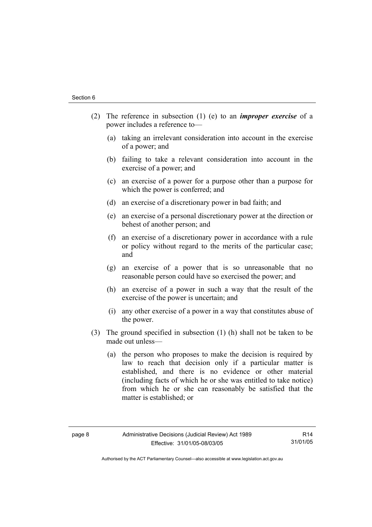- (2) The reference in subsection (1) (e) to an *improper exercise* of a power includes a reference to—
	- (a) taking an irrelevant consideration into account in the exercise of a power; and
	- (b) failing to take a relevant consideration into account in the exercise of a power; and
	- (c) an exercise of a power for a purpose other than a purpose for which the power is conferred; and
	- (d) an exercise of a discretionary power in bad faith; and
	- (e) an exercise of a personal discretionary power at the direction or behest of another person; and
	- (f) an exercise of a discretionary power in accordance with a rule or policy without regard to the merits of the particular case; and
	- (g) an exercise of a power that is so unreasonable that no reasonable person could have so exercised the power; and
	- (h) an exercise of a power in such a way that the result of the exercise of the power is uncertain; and
	- (i) any other exercise of a power in a way that constitutes abuse of the power.
- (3) The ground specified in subsection (1) (h) shall not be taken to be made out unless—
	- (a) the person who proposes to make the decision is required by law to reach that decision only if a particular matter is established, and there is no evidence or other material (including facts of which he or she was entitled to take notice) from which he or she can reasonably be satisfied that the matter is established; or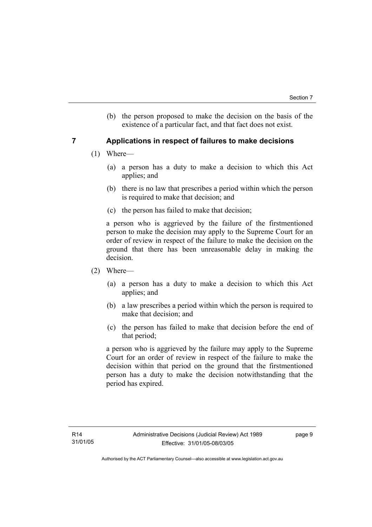(b) the person proposed to make the decision on the basis of the existence of a particular fact, and that fact does not exist.

## **7 Applications in respect of failures to make decisions**

- (1) Where—
	- (a) a person has a duty to make a decision to which this Act applies; and
	- (b) there is no law that prescribes a period within which the person is required to make that decision; and
	- (c) the person has failed to make that decision;

a person who is aggrieved by the failure of the firstmentioned person to make the decision may apply to the Supreme Court for an order of review in respect of the failure to make the decision on the ground that there has been unreasonable delay in making the decision.

- (2) Where—
	- (a) a person has a duty to make a decision to which this Act applies; and
	- (b) a law prescribes a period within which the person is required to make that decision; and
	- (c) the person has failed to make that decision before the end of that period;

a person who is aggrieved by the failure may apply to the Supreme Court for an order of review in respect of the failure to make the decision within that period on the ground that the firstmentioned person has a duty to make the decision notwithstanding that the period has expired.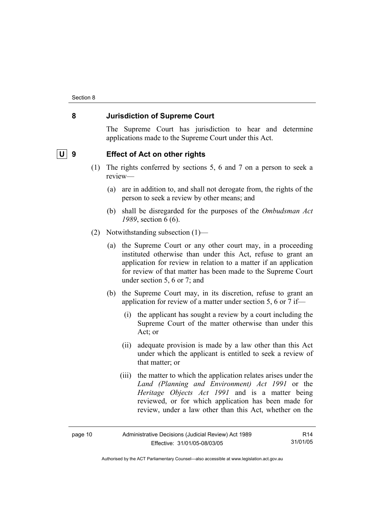## **8 Jurisdiction of Supreme Court**

The Supreme Court has jurisdiction to hear and determine applications made to the Supreme Court under this Act.

## **U** 9 Effect of Act on other rights

- (1) The rights conferred by sections 5, 6 and 7 on a person to seek a review—
	- (a) are in addition to, and shall not derogate from, the rights of the person to seek a review by other means; and
	- (b) shall be disregarded for the purposes of the *Ombudsman Act 1989*, section 6 (6).
- (2) Notwithstanding subsection (1)—
	- (a) the Supreme Court or any other court may, in a proceeding instituted otherwise than under this Act, refuse to grant an application for review in relation to a matter if an application for review of that matter has been made to the Supreme Court under section 5, 6 or 7; and
	- (b) the Supreme Court may, in its discretion, refuse to grant an application for review of a matter under section 5, 6 or 7 if—
		- (i) the applicant has sought a review by a court including the Supreme Court of the matter otherwise than under this Act; or
		- (ii) adequate provision is made by a law other than this Act under which the applicant is entitled to seek a review of that matter; or
		- (iii) the matter to which the application relates arises under the *Land (Planning and Environment) Act 1991* or the *Heritage Objects Act 1991* and is a matter being reviewed, or for which application has been made for review, under a law other than this Act, whether on the

| Administrative Decisions (Judicial Review) Act 1989<br>page 10 |                              | R <sub>14</sub> |
|----------------------------------------------------------------|------------------------------|-----------------|
|                                                                | Effective: 31/01/05-08/03/05 | 31/01/05        |

Authorised by the ACT Parliamentary Counsel—also accessible at www.legislation.act.gov.au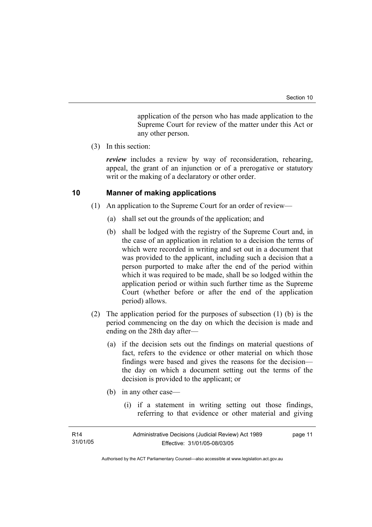application of the person who has made application to the Supreme Court for review of the matter under this Act or any other person.

(3) In this section:

*review* includes a review by way of reconsideration, rehearing, appeal, the grant of an injunction or of a prerogative or statutory writ or the making of a declaratory or other order.

## **10 Manner of making applications**

- (1) An application to the Supreme Court for an order of review—
	- (a) shall set out the grounds of the application; and
	- (b) shall be lodged with the registry of the Supreme Court and, in the case of an application in relation to a decision the terms of which were recorded in writing and set out in a document that was provided to the applicant, including such a decision that a person purported to make after the end of the period within which it was required to be made, shall be so lodged within the application period or within such further time as the Supreme Court (whether before or after the end of the application period) allows.
- (2) The application period for the purposes of subsection (1) (b) is the period commencing on the day on which the decision is made and ending on the 28th day after—
	- (a) if the decision sets out the findings on material questions of fact, refers to the evidence or other material on which those findings were based and gives the reasons for the decision the day on which a document setting out the terms of the decision is provided to the applicant; or
	- (b) in any other case—
		- (i) if a statement in writing setting out those findings, referring to that evidence or other material and giving

| R <sub>14</sub> | Administrative Decisions (Judicial Review) Act 1989 | page 11 |
|-----------------|-----------------------------------------------------|---------|
| 31/01/05        | Effective: 31/01/05-08/03/05                        |         |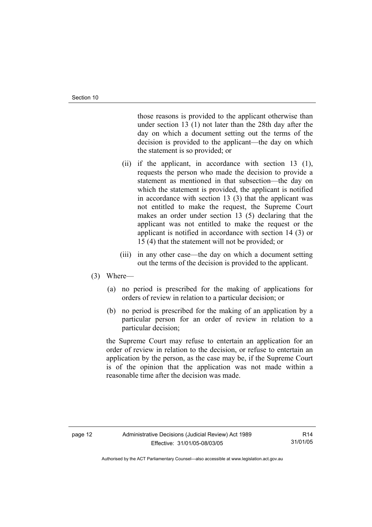those reasons is provided to the applicant otherwise than under section 13 (1) not later than the 28th day after the day on which a document setting out the terms of the decision is provided to the applicant—the day on which the statement is so provided; or

- (ii) if the applicant, in accordance with section 13 (1), requests the person who made the decision to provide a statement as mentioned in that subsection—the day on which the statement is provided, the applicant is notified in accordance with section 13 (3) that the applicant was not entitled to make the request, the Supreme Court makes an order under section 13 (5) declaring that the applicant was not entitled to make the request or the applicant is notified in accordance with section 14 (3) or 15 (4) that the statement will not be provided; or
- (iii) in any other case—the day on which a document setting out the terms of the decision is provided to the applicant.

#### (3) Where—

- (a) no period is prescribed for the making of applications for orders of review in relation to a particular decision; or
- (b) no period is prescribed for the making of an application by a particular person for an order of review in relation to a particular decision;

the Supreme Court may refuse to entertain an application for an order of review in relation to the decision, or refuse to entertain an application by the person, as the case may be, if the Supreme Court is of the opinion that the application was not made within a reasonable time after the decision was made.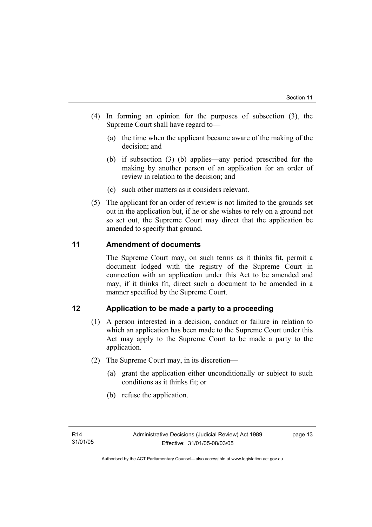- (4) In forming an opinion for the purposes of subsection (3), the Supreme Court shall have regard to—
	- (a) the time when the applicant became aware of the making of the decision; and
	- (b) if subsection (3) (b) applies—any period prescribed for the making by another person of an application for an order of review in relation to the decision; and
	- (c) such other matters as it considers relevant.
- (5) The applicant for an order of review is not limited to the grounds set out in the application but, if he or she wishes to rely on a ground not so set out, the Supreme Court may direct that the application be amended to specify that ground.

## **11 Amendment of documents**

The Supreme Court may, on such terms as it thinks fit, permit a document lodged with the registry of the Supreme Court in connection with an application under this Act to be amended and may, if it thinks fit, direct such a document to be amended in a manner specified by the Supreme Court.

## **12 Application to be made a party to a proceeding**

- (1) A person interested in a decision, conduct or failure in relation to which an application has been made to the Supreme Court under this Act may apply to the Supreme Court to be made a party to the application.
- (2) The Supreme Court may, in its discretion—
	- (a) grant the application either unconditionally or subject to such conditions as it thinks fit; or
	- (b) refuse the application.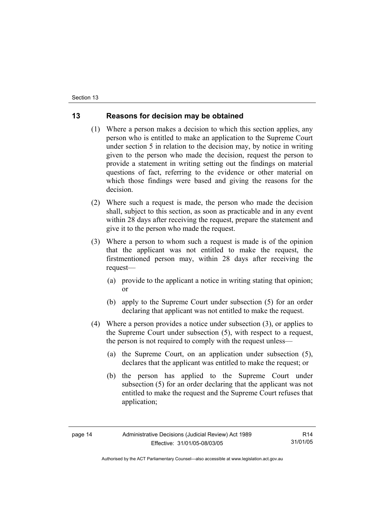## **13 Reasons for decision may be obtained**

- (1) Where a person makes a decision to which this section applies, any person who is entitled to make an application to the Supreme Court under section 5 in relation to the decision may, by notice in writing given to the person who made the decision, request the person to provide a statement in writing setting out the findings on material questions of fact, referring to the evidence or other material on which those findings were based and giving the reasons for the decision.
- (2) Where such a request is made, the person who made the decision shall, subject to this section, as soon as practicable and in any event within 28 days after receiving the request, prepare the statement and give it to the person who made the request.
- (3) Where a person to whom such a request is made is of the opinion that the applicant was not entitled to make the request, the firstmentioned person may, within 28 days after receiving the request—
	- (a) provide to the applicant a notice in writing stating that opinion; or
	- (b) apply to the Supreme Court under subsection (5) for an order declaring that applicant was not entitled to make the request.
- (4) Where a person provides a notice under subsection (3), or applies to the Supreme Court under subsection (5), with respect to a request, the person is not required to comply with the request unless—
	- (a) the Supreme Court, on an application under subsection (5), declares that the applicant was entitled to make the request; or
	- (b) the person has applied to the Supreme Court under subsection (5) for an order declaring that the applicant was not entitled to make the request and the Supreme Court refuses that application;

R14 31/01/05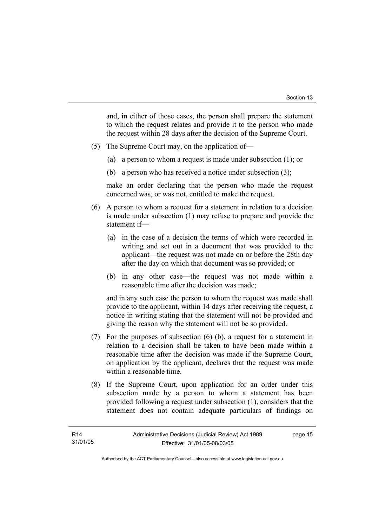and, in either of those cases, the person shall prepare the statement to which the request relates and provide it to the person who made the request within 28 days after the decision of the Supreme Court.

- (5) The Supreme Court may, on the application of—
	- (a) a person to whom a request is made under subsection (1); or
	- (b) a person who has received a notice under subsection (3);

make an order declaring that the person who made the request concerned was, or was not, entitled to make the request.

- (6) A person to whom a request for a statement in relation to a decision is made under subsection (1) may refuse to prepare and provide the statement if—
	- (a) in the case of a decision the terms of which were recorded in writing and set out in a document that was provided to the applicant—the request was not made on or before the 28th day after the day on which that document was so provided; or
	- (b) in any other case—the request was not made within a reasonable time after the decision was made;

and in any such case the person to whom the request was made shall provide to the applicant, within 14 days after receiving the request, a notice in writing stating that the statement will not be provided and giving the reason why the statement will not be so provided.

- (7) For the purposes of subsection (6) (b), a request for a statement in relation to a decision shall be taken to have been made within a reasonable time after the decision was made if the Supreme Court, on application by the applicant, declares that the request was made within a reasonable time.
- (8) If the Supreme Court, upon application for an order under this subsection made by a person to whom a statement has been provided following a request under subsection (1), considers that the statement does not contain adequate particulars of findings on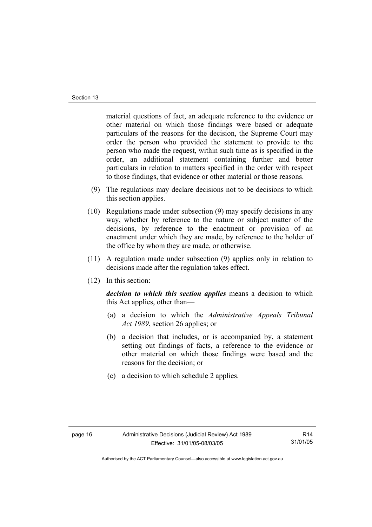material questions of fact, an adequate reference to the evidence or other material on which those findings were based or adequate particulars of the reasons for the decision, the Supreme Court may order the person who provided the statement to provide to the person who made the request, within such time as is specified in the order, an additional statement containing further and better particulars in relation to matters specified in the order with respect to those findings, that evidence or other material or those reasons.

- (9) The regulations may declare decisions not to be decisions to which this section applies.
- (10) Regulations made under subsection (9) may specify decisions in any way, whether by reference to the nature or subject matter of the decisions, by reference to the enactment or provision of an enactment under which they are made, by reference to the holder of the office by whom they are made, or otherwise.
- (11) A regulation made under subsection (9) applies only in relation to decisions made after the regulation takes effect.
- (12) In this section:

*decision to which this section applies* means a decision to which this Act applies, other than—

- (a) a decision to which the *Administrative Appeals Tribunal Act 1989*, section 26 applies; or
- (b) a decision that includes, or is accompanied by, a statement setting out findings of facts, a reference to the evidence or other material on which those findings were based and the reasons for the decision; or
- (c) a decision to which schedule 2 applies.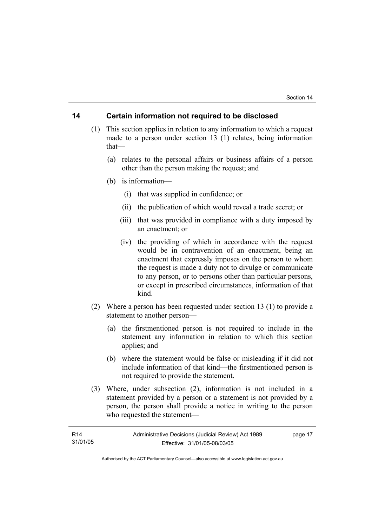### **14 Certain information not required to be disclosed**

- (1) This section applies in relation to any information to which a request made to a person under section 13 (1) relates, being information that—
	- (a) relates to the personal affairs or business affairs of a person other than the person making the request; and
	- (b) is information—
		- (i) that was supplied in confidence; or
		- (ii) the publication of which would reveal a trade secret; or
		- (iii) that was provided in compliance with a duty imposed by an enactment; or
		- (iv) the providing of which in accordance with the request would be in contravention of an enactment, being an enactment that expressly imposes on the person to whom the request is made a duty not to divulge or communicate to any person, or to persons other than particular persons, or except in prescribed circumstances, information of that kind.
- (2) Where a person has been requested under section 13 (1) to provide a statement to another person—
	- (a) the firstmentioned person is not required to include in the statement any information in relation to which this section applies; and
	- (b) where the statement would be false or misleading if it did not include information of that kind—the firstmentioned person is not required to provide the statement.
- (3) Where, under subsection (2), information is not included in a statement provided by a person or a statement is not provided by a person, the person shall provide a notice in writing to the person who requested the statement—

| R <sub>14</sub> | Administrative Decisions (Judicial Review) Act 1989 | page 17 |
|-----------------|-----------------------------------------------------|---------|
| 31/01/05        | Effective: 31/01/05-08/03/05                        |         |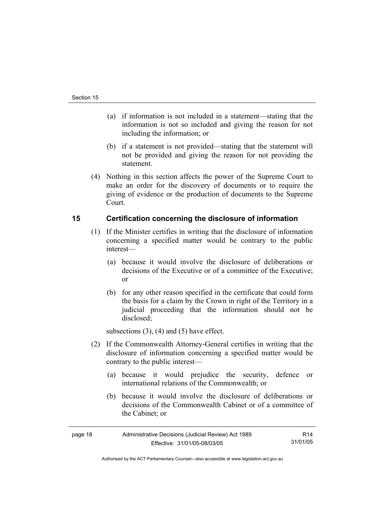- (a) if information is not included in a statement—stating that the information is not so included and giving the reason for not including the information; or
- (b) if a statement is not provided—stating that the statement will not be provided and giving the reason for not providing the statement.
- (4) Nothing in this section affects the power of the Supreme Court to make an order for the discovery of documents or to require the giving of evidence or the production of documents to the Supreme Court.

## **15 Certification concerning the disclosure of information**

- (1) If the Minister certifies in writing that the disclosure of information concerning a specified matter would be contrary to the public interest—
	- (a) because it would involve the disclosure of deliberations or decisions of the Executive or of a committee of the Executive; or
	- (b) for any other reason specified in the certificate that could form the basis for a claim by the Crown in right of the Territory in a judicial proceeding that the information should not be disclosed;

subsections  $(3)$ ,  $(4)$  and  $(5)$  have effect.

- (2) If the Commonwealth Attorney-General certifies in writing that the disclosure of information concerning a specified matter would be contrary to the public interest—
	- (a) because it would prejudice the security, defence or international relations of the Commonwealth; or
	- (b) because it would involve the disclosure of deliberations or decisions of the Commonwealth Cabinet or of a committee of the Cabinet; or

| Administrative Decisions (Judicial Review) Act 1989<br>page 18 |                              | R14      |
|----------------------------------------------------------------|------------------------------|----------|
|                                                                | Effective: 31/01/05-08/03/05 | 31/01/05 |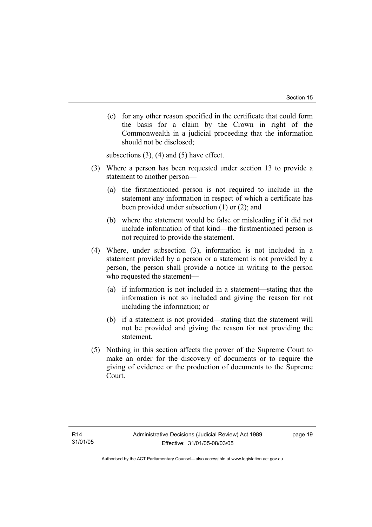(c) for any other reason specified in the certificate that could form the basis for a claim by the Crown in right of the Commonwealth in a judicial proceeding that the information should not be disclosed;

subsections  $(3)$ ,  $(4)$  and  $(5)$  have effect.

- (3) Where a person has been requested under section 13 to provide a statement to another person—
	- (a) the firstmentioned person is not required to include in the statement any information in respect of which a certificate has been provided under subsection (1) or (2); and
	- (b) where the statement would be false or misleading if it did not include information of that kind—the firstmentioned person is not required to provide the statement.
- (4) Where, under subsection (3), information is not included in a statement provided by a person or a statement is not provided by a person, the person shall provide a notice in writing to the person who requested the statement—
	- (a) if information is not included in a statement—stating that the information is not so included and giving the reason for not including the information; or
	- (b) if a statement is not provided—stating that the statement will not be provided and giving the reason for not providing the statement.
- (5) Nothing in this section affects the power of the Supreme Court to make an order for the discovery of documents or to require the giving of evidence or the production of documents to the Supreme Court.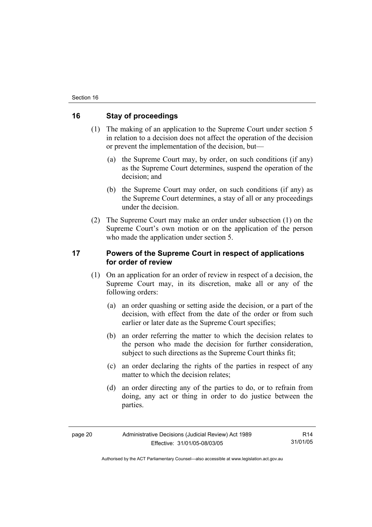## **16 Stay of proceedings**

- (1) The making of an application to the Supreme Court under section 5 in relation to a decision does not affect the operation of the decision or prevent the implementation of the decision, but—
	- (a) the Supreme Court may, by order, on such conditions (if any) as the Supreme Court determines, suspend the operation of the decision; and
	- (b) the Supreme Court may order, on such conditions (if any) as the Supreme Court determines, a stay of all or any proceedings under the decision.
- (2) The Supreme Court may make an order under subsection (1) on the Supreme Court's own motion or on the application of the person who made the application under section 5.

## **17 Powers of the Supreme Court in respect of applications for order of review**

- (1) On an application for an order of review in respect of a decision, the Supreme Court may, in its discretion, make all or any of the following orders:
	- (a) an order quashing or setting aside the decision, or a part of the decision, with effect from the date of the order or from such earlier or later date as the Supreme Court specifies;
	- (b) an order referring the matter to which the decision relates to the person who made the decision for further consideration, subject to such directions as the Supreme Court thinks fit:
	- (c) an order declaring the rights of the parties in respect of any matter to which the decision relates:
	- (d) an order directing any of the parties to do, or to refrain from doing, any act or thing in order to do justice between the parties.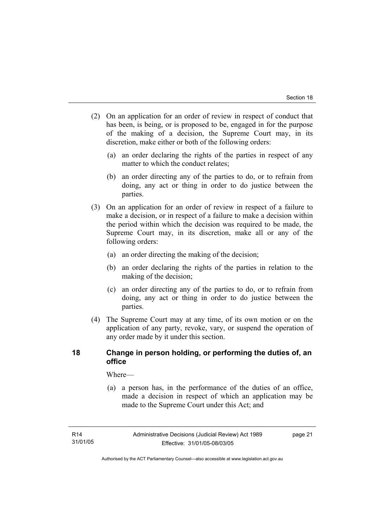- (2) On an application for an order of review in respect of conduct that has been, is being, or is proposed to be, engaged in for the purpose of the making of a decision, the Supreme Court may, in its discretion, make either or both of the following orders:
	- (a) an order declaring the rights of the parties in respect of any matter to which the conduct relates;
	- (b) an order directing any of the parties to do, or to refrain from doing, any act or thing in order to do justice between the parties.
- (3) On an application for an order of review in respect of a failure to make a decision, or in respect of a failure to make a decision within the period within which the decision was required to be made, the Supreme Court may, in its discretion, make all or any of the following orders:
	- (a) an order directing the making of the decision;
	- (b) an order declaring the rights of the parties in relation to the making of the decision;
	- (c) an order directing any of the parties to do, or to refrain from doing, any act or thing in order to do justice between the parties.
- (4) The Supreme Court may at any time, of its own motion or on the application of any party, revoke, vary, or suspend the operation of any order made by it under this section.

## **18 Change in person holding, or performing the duties of, an office**

Where—

 (a) a person has, in the performance of the duties of an office, made a decision in respect of which an application may be made to the Supreme Court under this Act; and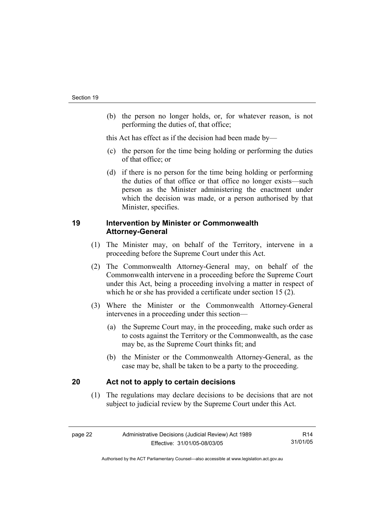(b) the person no longer holds, or, for whatever reason, is not performing the duties of, that office;

this Act has effect as if the decision had been made by—

- (c) the person for the time being holding or performing the duties of that office; or
- (d) if there is no person for the time being holding or performing the duties of that office or that office no longer exists—such person as the Minister administering the enactment under which the decision was made, or a person authorised by that Minister, specifies.

## **19 Intervention by Minister or Commonwealth Attorney-General**

- (1) The Minister may, on behalf of the Territory, intervene in a proceeding before the Supreme Court under this Act.
- (2) The Commonwealth Attorney-General may, on behalf of the Commonwealth intervene in a proceeding before the Supreme Court under this Act, being a proceeding involving a matter in respect of which he or she has provided a certificate under section 15 (2).
- (3) Where the Minister or the Commonwealth Attorney-General intervenes in a proceeding under this section—
	- (a) the Supreme Court may, in the proceeding, make such order as to costs against the Territory or the Commonwealth, as the case may be, as the Supreme Court thinks fit; and
	- (b) the Minister or the Commonwealth Attorney-General, as the case may be, shall be taken to be a party to the proceeding.

## **20 Act not to apply to certain decisions**

 (1) The regulations may declare decisions to be decisions that are not subject to judicial review by the Supreme Court under this Act.

| eag |  |
|-----|--|
|-----|--|

R14 31/01/05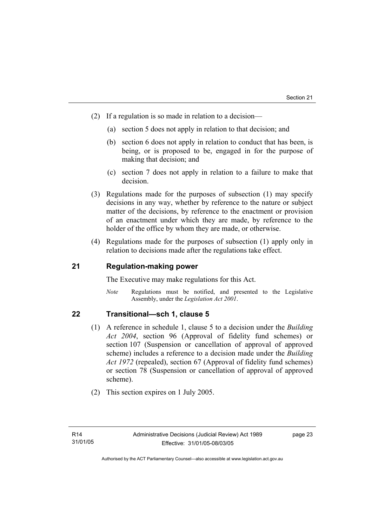- (2) If a regulation is so made in relation to a decision—
	- (a) section 5 does not apply in relation to that decision; and
	- (b) section 6 does not apply in relation to conduct that has been, is being, or is proposed to be, engaged in for the purpose of making that decision; and
	- (c) section 7 does not apply in relation to a failure to make that decision.
- (3) Regulations made for the purposes of subsection (1) may specify decisions in any way, whether by reference to the nature or subject matter of the decisions, by reference to the enactment or provision of an enactment under which they are made, by reference to the holder of the office by whom they are made, or otherwise.
- (4) Regulations made for the purposes of subsection (1) apply only in relation to decisions made after the regulations take effect.

## **21 Regulation-making power**

The Executive may make regulations for this Act.

*Note* Regulations must be notified, and presented to the Legislative Assembly, under the *Legislation Act 2001*.

## **22 Transitional—sch 1, clause 5**

- (1) A reference in schedule 1, clause 5 to a decision under the *Building Act 2004*, section 96 (Approval of fidelity fund schemes) or section 107 (Suspension or cancellation of approval of approved scheme) includes a reference to a decision made under the *Building Act 1972* (repealed), section 67 (Approval of fidelity fund schemes) or section 78 (Suspension or cancellation of approval of approved scheme).
- (2) This section expires on 1 July 2005.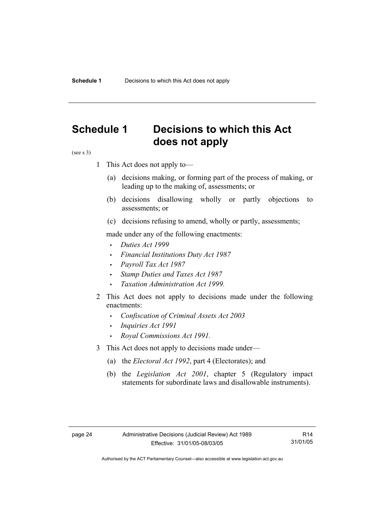## **Schedule 1 Decisions to which this Act does not apply**

(see s 3)

- 1 This Act does not apply to—
	- (a) decisions making, or forming part of the process of making, or leading up to the making of, assessments; or
	- (b) decisions disallowing wholly or partly objections to assessments; or
	- (c) decisions refusing to amend, wholly or partly, assessments;

made under any of the following enactments:

- *Duties Act 1999*
- *Financial Institutions Duty Act 1987*
- *Payroll Tax Act 1987*
- *Stamp Duties and Taxes Act 1987*
- *Taxation Administration Act 1999*.
- 2 This Act does not apply to decisions made under the following enactments:
	- *Confiscation of Criminal Assets Act 2003*
	- *Inquiries Act 1991*
	- *Royal Commissions Act 1991.*
- 3 This Act does not apply to decisions made under—
	- (a) the *Electoral Act 1992*, part 4 (Electorates); and
	- (b) the *Legislation Act 2001*, chapter 5 (Regulatory impact statements for subordinate laws and disallowable instruments).

R14 31/01/05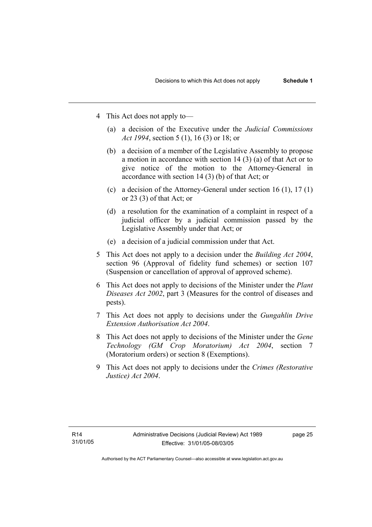- 4 This Act does not apply to—
	- (a) a decision of the Executive under the *Judicial Commissions Act 1994*, section 5 (1), 16 (3) or 18; or
	- (b) a decision of a member of the Legislative Assembly to propose a motion in accordance with section 14 (3) (a) of that Act or to give notice of the motion to the Attorney-General in accordance with section 14 (3) (b) of that Act; or
	- (c) a decision of the Attorney-General under section 16 (1), 17 (1) or 23 (3) of that Act; or
	- (d) a resolution for the examination of a complaint in respect of a judicial officer by a judicial commission passed by the Legislative Assembly under that Act; or
	- (e) a decision of a judicial commission under that Act .
- 5 This Act does not apply to a decision under the *Building Act 2004*, section 96 (Approval of fidelity fund schemes) or section 107 (Suspension or cancellation of approval of approved scheme).
- 6 This Act does not apply to decisions of the Minister under the *Plant Diseases Act 2002*, part 3 (Measures for the control of diseases and pests).
- 7 This Act does not apply to decisions under the *Gungahlin Drive Extension Authorisation Act 2004*.
- 8 This Act does not apply to decisions of the Minister under the *Gene Technology (GM Crop Moratorium) Act 2004*, section 7 (Moratorium orders) or section 8 (Exemptions).
- 9 This Act does not apply to decisions under the *Crimes (Restorative Justice) Act 2004*.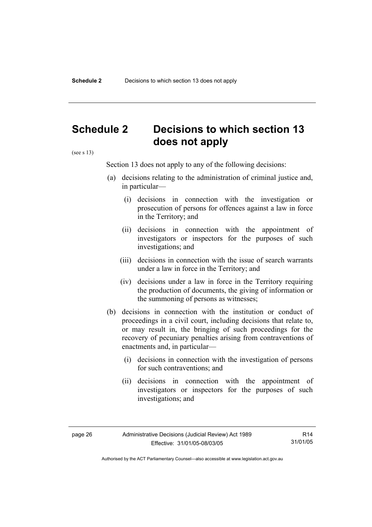## **Schedule 2 Decisions to which section 13 does not apply**

(see s 13)

Section 13 does not apply to any of the following decisions:

- (a) decisions relating to the administration of criminal justice and, in particular—
	- (i) decisions in connection with the investigation or prosecution of persons for offences against a law in force in the Territory; and
	- (ii) decisions in connection with the appointment of investigators or inspectors for the purposes of such investigations; and
	- (iii) decisions in connection with the issue of search warrants under a law in force in the Territory; and
	- (iv) decisions under a law in force in the Territory requiring the production of documents, the giving of information or the summoning of persons as witnesses;
- (b) decisions in connection with the institution or conduct of proceedings in a civil court, including decisions that relate to, or may result in, the bringing of such proceedings for the recovery of pecuniary penalties arising from contraventions of enactments and, in particular—
	- (i) decisions in connection with the investigation of persons for such contraventions; and
	- (ii) decisions in connection with the appointment of investigators or inspectors for the purposes of such investigations; and

R14 31/01/05

Authorised by the ACT Parliamentary Counsel—also accessible at www.legislation.act.gov.au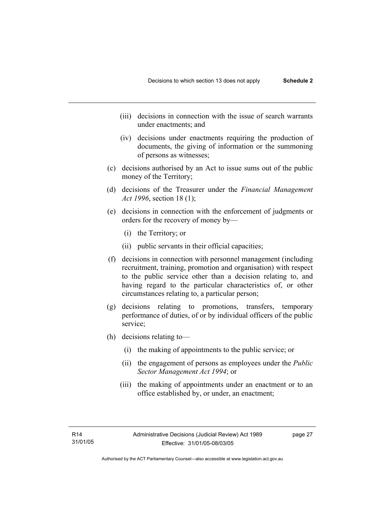- (iii) decisions in connection with the issue of search warrants under enactments; and
- (iv) decisions under enactments requiring the production of documents, the giving of information or the summoning of persons as witnesses;
- (c) decisions authorised by an Act to issue sums out of the public money of the Territory;
- (d) decisions of the Treasurer under the *Financial Management Act 1996*, section 18 (1);
- (e) decisions in connection with the enforcement of judgments or orders for the recovery of money by—
	- (i) the Territory; or
	- (ii) public servants in their official capacities;
- (f) decisions in connection with personnel management (including recruitment, training, promotion and organisation) with respect to the public service other than a decision relating to, and having regard to the particular characteristics of, or other circumstances relating to, a particular person;
- (g) decisions relating to promotions, transfers, temporary performance of duties, of or by individual officers of the public service;
- (h) decisions relating to—
	- (i) the making of appointments to the public service; or
	- (ii) the engagement of persons as employees under the *Public Sector Management Act 1994*; or
	- (iii) the making of appointments under an enactment or to an office established by, or under, an enactment;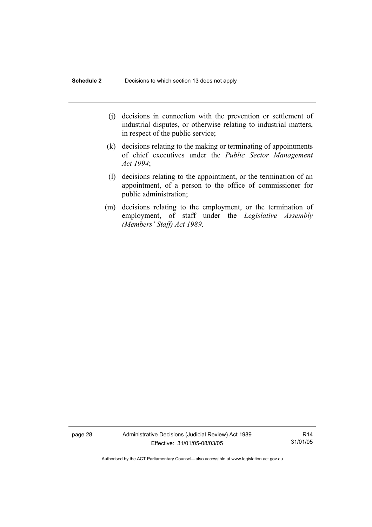- (j) decisions in connection with the prevention or settlement of industrial disputes, or otherwise relating to industrial matters, in respect of the public service;
- (k) decisions relating to the making or terminating of appointments of chief executives under the *Public Sector Management Act 1994*;
- (l) decisions relating to the appointment, or the termination of an appointment, of a person to the office of commissioner for public administration;
- (m) decisions relating to the employment, or the termination of employment, of staff under the *Legislative Assembly (Members' Staff) Act 1989*.

page 28 Administrative Decisions (Judicial Review) Act 1989 Effective: 31/01/05-08/03/05

R14 31/01/05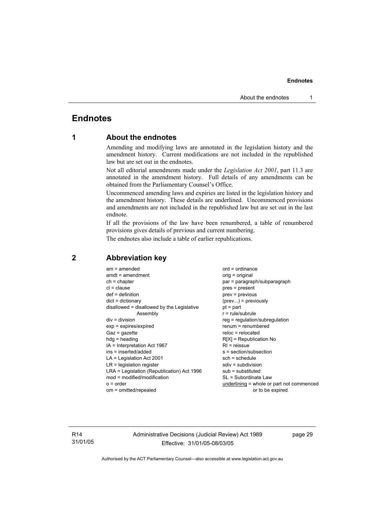## **Endnotes**

## **1 About the endnotes**

Amending and modifying laws are annotated in the legislation history and the amendment history. Current modifications are not included in the republished law but are set out in the endnotes.

Not all editorial amendments made under the *Legislation Act 2001*, part 11.3 are annotated in the amendment history. Full details of any amendments can be obtained from the Parliamentary Counsel's Office.

Uncommenced amending laws and expiries are listed in the legislation history and the amendment history. These details are underlined. Uncommenced provisions and amendments are not included in the republished law but are set out in the last endnote.

If all the provisions of the law have been renumbered, a table of renumbered provisions gives details of previous and current numbering.

The endnotes also include a table of earlier republications.

| $am = amended$<br>$amdt = amendment$<br>$ch = chapter$<br>$cl = clause$<br>$def = definition$<br>$dict = dictionary$<br>disallowed = disallowed by the Legislative<br>Assembly<br>$div = division$<br>$exp = expires/expired$<br>$Gaz = gazette$<br>$hdg = heading$<br>IA = Interpretation Act 1967<br>ins = inserted/added<br>$LA =$ Legislation Act 2001<br>$LR =$ legislation register<br>LRA = Legislation (Republication) Act 1996<br>$mod = modified/modification$ | $ord = ordinance$<br>orig = original<br>par = paragraph/subparagraph<br>$pres = present$<br>$prev = previous$<br>$(\text{prev})$ = previously<br>$pt = part$<br>$r = rule/subrule$<br>reg = regulation/subregulation<br>$renum = renumbered$<br>$reloc = relocated$<br>$R[X]$ = Republication No<br>$RI = reissue$<br>s = section/subsection<br>$sch = schedule$<br>$sdiv = subdivision$<br>$sub =$ substituted<br>SL = Subordinate Law |
|--------------------------------------------------------------------------------------------------------------------------------------------------------------------------------------------------------------------------------------------------------------------------------------------------------------------------------------------------------------------------------------------------------------------------------------------------------------------------|-----------------------------------------------------------------------------------------------------------------------------------------------------------------------------------------------------------------------------------------------------------------------------------------------------------------------------------------------------------------------------------------------------------------------------------------|
|                                                                                                                                                                                                                                                                                                                                                                                                                                                                          |                                                                                                                                                                                                                                                                                                                                                                                                                                         |
| $o = order$                                                                                                                                                                                                                                                                                                                                                                                                                                                              | underlining = whole or part not commenced                                                                                                                                                                                                                                                                                                                                                                                               |
| om = omitted/repealed                                                                                                                                                                                                                                                                                                                                                                                                                                                    | or to be expired                                                                                                                                                                                                                                                                                                                                                                                                                        |
|                                                                                                                                                                                                                                                                                                                                                                                                                                                                          |                                                                                                                                                                                                                                                                                                                                                                                                                                         |

### **2 Abbreviation key**

R14 31/01/05 Administrative Decisions (Judicial Review) Act 1989 Effective: 31/01/05-08/03/05

page 29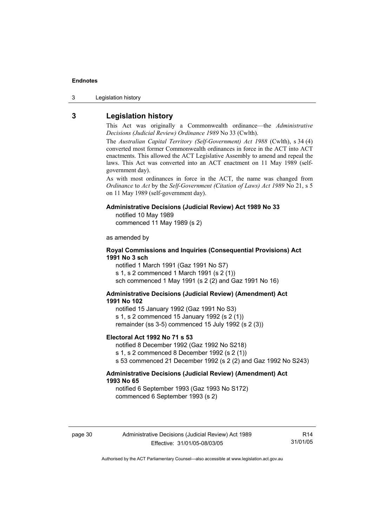3 Legislation history

## **3 Legislation history**

This Act was originally a Commonwealth ordinance—the *Administrative Decisions (Judicial Review) Ordinance 1989* No 33 (Cwlth).

The *Australian Capital Territory (Self-Government) Act 1988* (Cwlth), s 34 (4) converted most former Commonwealth ordinances in force in the ACT into ACT enactments. This allowed the ACT Legislative Assembly to amend and repeal the laws. This Act was converted into an ACT enactment on 11 May 1989 (selfgovernment day).

As with most ordinances in force in the ACT, the name was changed from *Ordinance* to *Act* by the *Self-Government (Citation of Laws) Act 1989* No 21, s 5 on 11 May 1989 (self-government day).

#### **Administrative Decisions (Judicial Review) Act 1989 No 33**

notified 10 May 1989

commenced 11 May 1989 (s 2)

as amended by

#### **Royal Commissions and Inquiries (Consequential Provisions) Act 1991 No 3 sch**

notified 1 March 1991 (Gaz 1991 No S7) s 1, s 2 commenced 1 March 1991 (s 2 (1)) sch commenced 1 May 1991 (s 2 (2) and Gaz 1991 No 16)

#### **Administrative Decisions (Judicial Review) (Amendment) Act 1991 No 102**

notified 15 January 1992 (Gaz 1991 No S3) s 1, s 2 commenced 15 January 1992 (s 2 (1)) remainder (ss 3-5) commenced 15 July 1992 (s 2 (3))

#### **Electoral Act 1992 No 71 s 53**

notified 8 December 1992 (Gaz 1992 No S218) s 1, s 2 commenced 8 December 1992 (s 2 (1)) s 53 commenced 21 December 1992 (s 2 (2) and Gaz 1992 No S243)

#### **Administrative Decisions (Judicial Review) (Amendment) Act 1993 No 65**

notified 6 September 1993 (Gaz 1993 No S172) commenced 6 September 1993 (s 2)

R14 31/01/05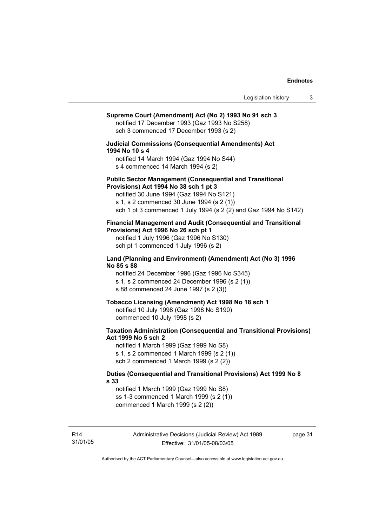## **Supreme Court (Amendment) Act (No 2) 1993 No 91 sch 3**  notified 17 December 1993 (Gaz 1993 No S258) sch 3 commenced 17 December 1993 (s 2) **Judicial Commissions (Consequential Amendments) Act 1994 No 10 s 4**  notified 14 March 1994 (Gaz 1994 No S44) s 4 commenced 14 March 1994 (s 2) **Public Sector Management (Consequential and Transitional Provisions) Act 1994 No 38 sch 1 pt 3**  notified 30 June 1994 (Gaz 1994 No S121) s 1, s 2 commenced 30 June 1994 (s 2 (1)) sch 1 pt 3 commenced 1 July 1994 (s 2 (2) and Gaz 1994 No S142) **Financial Management and Audit (Consequential and Transitional Provisions) Act 1996 No 26 sch pt 1**  notified 1 July 1996 (Gaz 1996 No S130) sch pt 1 commenced 1 July 1996 (s 2) **Land (Planning and Environment) (Amendment) Act (No 3) 1996 No 85 s 88**  notified 24 December 1996 (Gaz 1996 No S345) s 1, s 2 commenced 24 December 1996 (s 2 (1)) s 88 commenced 24 June 1997 (s 2 (3)) **Tobacco Licensing (Amendment) Act 1998 No 18 sch 1**  notified 10 July 1998 (Gaz 1998 No S190) commenced 10 July 1998 (s 2) **Taxation Administration (Consequential and Transitional Provisions) Act 1999 No 5 sch 2**  notified 1 March 1999 (Gaz 1999 No S8) s 1, s 2 commenced 1 March 1999 (s 2 (1)) sch 2 commenced 1 March 1999 (s 2 (2)) **Duties (Consequential and Transitional Provisions) Act 1999 No 8 s 33**  notified 1 March 1999 (Gaz 1999 No S8) ss 1-3 commenced 1 March 1999 (s 2 (1)) commenced 1 March 1999 (s 2 (2))

page 31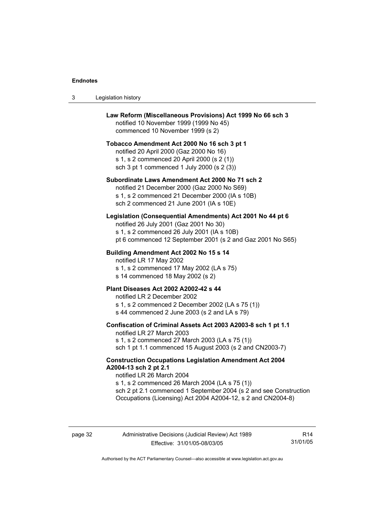| 3 | Legislation history                                                                                                                                                                                                                                                                                         |
|---|-------------------------------------------------------------------------------------------------------------------------------------------------------------------------------------------------------------------------------------------------------------------------------------------------------------|
|   | Law Reform (Miscellaneous Provisions) Act 1999 No 66 sch 3<br>notified 10 November 1999 (1999 No 45)<br>commenced 10 November 1999 (s 2)                                                                                                                                                                    |
|   | Tobacco Amendment Act 2000 No 16 sch 3 pt 1<br>notified 20 April 2000 (Gaz 2000 No 16)<br>s 1, s 2 commenced 20 April 2000 (s 2 (1))<br>sch 3 pt 1 commenced 1 July 2000 (s 2 (3))                                                                                                                          |
|   | Subordinate Laws Amendment Act 2000 No 71 sch 2<br>notified 21 December 2000 (Gaz 2000 No S69)<br>s 1, s 2 commenced 21 December 2000 (IA s 10B)<br>sch 2 commenced 21 June 2001 (IA s 10E)                                                                                                                 |
|   | Legislation (Consequential Amendments) Act 2001 No 44 pt 6<br>notified 26 July 2001 (Gaz 2001 No 30)<br>s 1, s 2 commenced 26 July 2001 (IA s 10B)<br>pt 6 commenced 12 September 2001 (s 2 and Gaz 2001 No S65)                                                                                            |
|   | Building Amendment Act 2002 No 15 s 14<br>notified LR 17 May 2002<br>s 1, s 2 commenced 17 May 2002 (LA s 75)<br>s 14 commenced 18 May 2002 (s 2)                                                                                                                                                           |
|   | Plant Diseases Act 2002 A2002-42 s 44<br>notified LR 2 December 2002<br>s 1, s 2 commenced 2 December 2002 (LA s 75 (1))<br>s 44 commenced 2 June 2003 (s 2 and LA s 79)                                                                                                                                    |
|   | Confiscation of Criminal Assets Act 2003 A2003-8 sch 1 pt 1.1<br>notified LR 27 March 2003<br>s 1, s 2 commenced 27 March 2003 (LA s 75 (1))<br>sch 1 pt 1.1 commenced 15 August 2003 (s 2 and CN2003-7)                                                                                                    |
|   | <b>Construction Occupations Legislation Amendment Act 2004</b><br>A2004-13 sch 2 pt 2.1<br>notified LR 26 March 2004<br>s 1, s 2 commenced 26 March 2004 (LA s 75 (1))<br>sch 2 pt 2.1 commenced 1 September 2004 (s 2 and see Construction<br>Occupations (Licensing) Act 2004 A2004-12, s 2 and CN2004-8) |

R14 31/01/05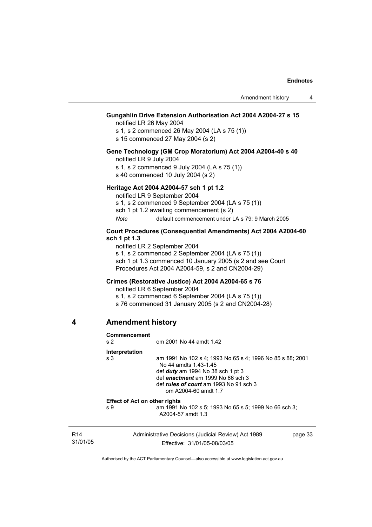### **Gungahlin Drive Extension Authorisation Act 2004 A2004-27 s 15**

notified LR 26 May 2004

s 1, s 2 commenced 26 May 2004 (LA s 75 (1))

s 15 commenced 27 May 2004 (s 2)

### **Gene Technology (GM Crop Moratorium) Act 2004 A2004-40 s 40**

notified LR 9 July 2004

s 1, s 2 commenced 9 July 2004 (LA s 75 (1))

s 40 commenced 10 July 2004 (s 2)

#### **Heritage Act 2004 A2004-57 sch 1 pt 1.2**

notified LR 9 September 2004

s 1, s 2 commenced 9 September 2004 (LA s 75 (1))

sch 1 pt 1.2 awaiting commencement (s 2)

*Note* default commencement under LA s 79: 9 March 2005

#### **Court Procedures (Consequential Amendments) Act 2004 A2004-60 sch 1 pt 1.3**

notified LR 2 September 2004 s 1, s 2 commenced 2 September 2004 (LA s 75 (1)) sch 1 pt 1.3 commenced 10 January 2005 (s 2 and see Court Procedures Act 2004 A2004-59, s 2 and CN2004-29)

#### **Crimes (Restorative Justice) Act 2004 A2004-65 s 76**

notified LR 6 September 2004

s 1, s 2 commenced 6 September 2004 (LA s 75 (1))

s 76 commenced 31 January 2005 (s 2 and CN2004-28)

#### **4 Amendment history**

| Commencement<br>s <sub>2</sub>       | om 2001 No 44 amdt 1.42                                                                                                                                                                                                                 |         |
|--------------------------------------|-----------------------------------------------------------------------------------------------------------------------------------------------------------------------------------------------------------------------------------------|---------|
| Interpretation                       |                                                                                                                                                                                                                                         |         |
| s <sub>3</sub>                       | am 1991 No 102 s 4; 1993 No 65 s 4; 1996 No 85 s 88; 2001<br>No 44 amdts 1.43-1.45<br>def $duty$ am 1994 No 38 sch 1 pt 3<br>def enactment am 1999 No 66 sch 3<br>def <i>rules of court</i> am 1993 No 91 sch 3<br>om A2004-60 amdt 1.7 |         |
| <b>Effect of Act on other rights</b> |                                                                                                                                                                                                                                         |         |
| s <sub>9</sub>                       | am 1991 No 102 s 5; 1993 No 65 s 5; 1999 No 66 sch 3;<br>A2004-57 amdt 1.3                                                                                                                                                              |         |
|                                      | Administrative Decisions (Judicial Review) Act 1989                                                                                                                                                                                     | page 33 |

R14 31/01/05

Effective: 31/01/05-08/03/05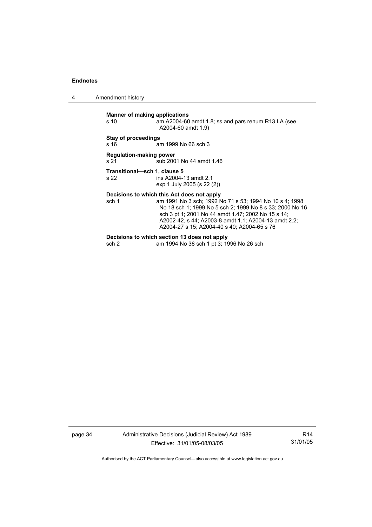4 Amendment history

**Manner of making applications**<br>
s 10 am A2004-60 am A2004-60 amdt 1.8; ss and pars renum R13 LA (see A2004-60 amdt 1.9) **Stay of proceedings**  s 16 **am 1999** No 66 sch 3 **Regulation-making power**  s 21 sub 2001 No 44 amdt 1.46 **Transitional—sch 1, clause 5**  ins A2004-13 amdt 2.1 exp 1 July 2005 (s 22 (2)) **Decisions to which this Act does not apply**<br>sch 1 am 1991 No 3 sch; 1992 N am 1991 No 3 sch; 1992 No 71 s 53; 1994 No 10 s 4; 1998 No 18 sch 1; 1999 No 5 sch 2; 1999 No 8 s 33; 2000 No 16

sch 3 pt 1; 2001 No 44 amdt 1.47; 2002 No 15 s 14; A2002-42, s 44; A2003-8 amdt 1.1; A2004-13 amdt 2.2;

A2004-27 s 15; A2004-40 s 40; A2004-65 s 76

**Decisions to which section 13 does not apply**<br>sch 2 am 1994 No 38 sch 1 pt 3; 19 am 1994 No 38 sch 1 pt 3; 1996 No 26 sch

page 34 Administrative Decisions (Judicial Review) Act 1989 Effective: 31/01/05-08/03/05

R14 31/01/05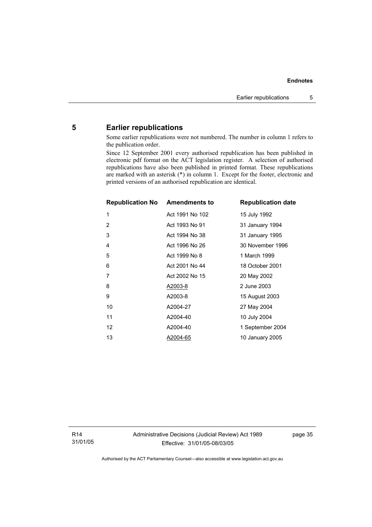## **5 Earlier republications**

Some earlier republications were not numbered. The number in column 1 refers to the publication order.

Since 12 September 2001 every authorised republication has been published in electronic pdf format on the ACT legislation register. A selection of authorised republications have also been published in printed format. These republications are marked with an asterisk (\*) in column 1. Except for the footer, electronic and printed versions of an authorised republication are identical.

| <b>Republication No Amendments to</b> |                 | <b>Republication date</b> |
|---------------------------------------|-----------------|---------------------------|
| 1                                     | Act 1991 No 102 | 15 July 1992              |
| 2                                     | Act 1993 No 91  | 31 January 1994           |
| 3                                     | Act 1994 No 38  | 31 January 1995           |
| 4                                     | Act 1996 No 26  | 30 November 1996          |
| 5                                     | Act 1999 No 8   | 1 March 1999              |
| 6                                     | Act 2001 No 44  | 18 October 2001           |
| 7                                     | Act 2002 No 15  | 20 May 2002               |
| 8                                     | A2003-8         | 2 June 2003               |
| 9                                     | A2003-8         | 15 August 2003            |
| 10                                    | A2004-27        | 27 May 2004               |
| 11                                    | A2004-40        | 10 July 2004              |
| 12                                    | A2004-40        | 1 September 2004          |
| 13                                    | A2004-65        | 10 January 2005           |

R14 31/01/05